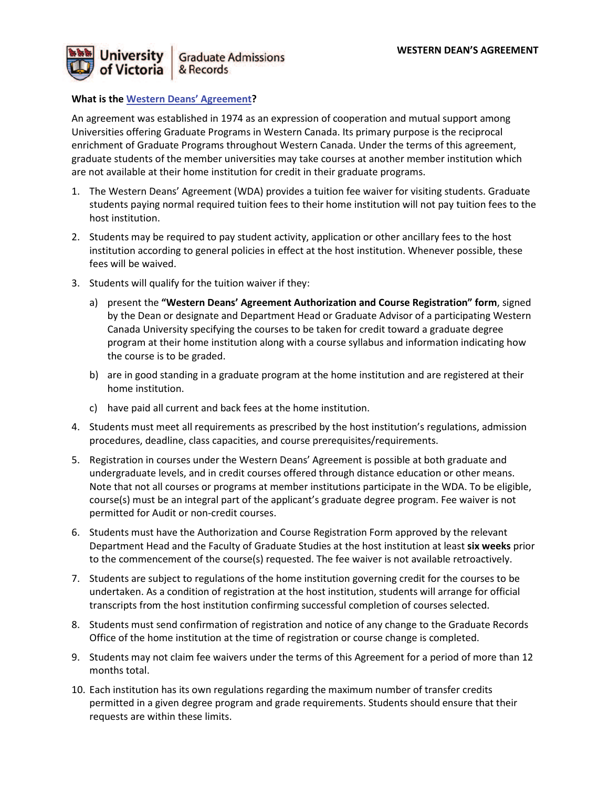

#### **What is the Western Deans' Agreement?**

An agreement was established in 1974 as an expression of cooperation and mutual support among Universities offering Graduate Programs in Western Canada. Its primary purpose is the reciprocal enrichment of Graduate Programs throughout Western Canada. Under the terms of this agreement, graduate students of the member universities may take courses at another member institution which are not available at their home institution for credit in their graduate programs.

- 1. The Western Deans' Agreement (WDA) provides a tuition fee waiver for visiting students. Graduate students paying normal required tuition fees to their home institution will not pay tuition fees to the host institution.
- 2. Students may be required to pay student activity, application or other ancillary fees to the host institution according to general policies in effect at the host institution. Whenever possible, these fees will be waived.
- 3. Students will qualify for the tuition waiver if they:
	- a) present the **"Western Deans' Agreement Authorization and Course Registration" form**, signed by the Dean or designate and Department Head or Graduate Advisor of a participating Western Canada University specifying the courses to be taken for credit toward a graduate degree program at their home institution along with a course syllabus and information indicating how the course is to be graded.
	- b) are in good standing in a graduate program at the home institution and are registered at their home institution.
	- c) have paid all current and back fees at the home institution.
- 4. Students must meet all requirements as prescribed by the host institution's regulations, admission procedures, deadline, class capacities, and course prerequisites/requirements.
- 5. Registration in courses under the Western Deans' Agreement is possible at both graduate and undergraduate levels, and in credit courses offered through distance education or other means. Note that not all courses or programs at member institutions participate in the WDA. To be eligible, course(s) must be an integral part of the applicant's graduate degree program. Fee waiver is not permitted for Audit or non-credit courses.
- 6. Students must have the Authorization and Course Registration Form approved by the relevant Department Head and the Faculty of Graduate Studies at the host institution at least **six weeks** prior to the commencement of the course(s) requested. The fee waiver is not available retroactively.
- 7. Students are subject to regulations of the home institution governing credit for the courses to be undertaken. As a condition of registration at the host institution, students will arrange for official transcripts from the host institution confirming successful completion of courses selected.
- 8. Students must send confirmation of registration and notice of any change to the Graduate Records Office of the home institution at the time of registration or course change is completed.
- 9. Students may not claim fee waivers under the terms of this Agreement for a period of more than 12 months total.
- 10. Each institution has its own regulations regarding the maximum number of transfer credits permitted in a given degree program and grade requirements. Students should ensure that their requests are within these limits.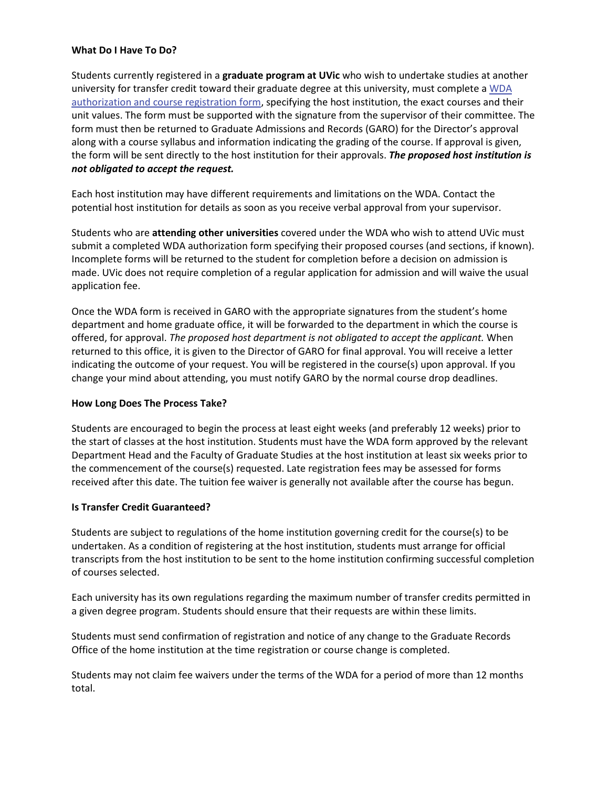#### **What Do I Have To Do?**

Students currently registered in a **graduate program at UVic** who wish to undertake studies at another university for transfer credit toward their graduate degree at this university, must complete a WDA authorization and course registration form, specifying the host institution, the exact courses and their unit values. The form must be supported with the signature from the supervisor of their committee. The form must then be returned to Graduate Admissions and Records (GARO) for the Director's approval along with a course syllabus and information indicating the grading of the course. If approval is given, the form will be sent directly to the host institution for their approvals. *The proposed host institution is not obligated to accept the request.* 

Each host institution may have different requirements and limitations on the WDA. Contact the potential host institution for details as soon as you receive verbal approval from your supervisor.

Students who are **attending other universities** covered under the WDA who wish to attend UVic must submit a completed WDA authorization form specifying their proposed courses (and sections, if known). Incomplete forms will be returned to the student for completion before a decision on admission is made. UVic does not require completion of a regular application for admission and will waive the usual application fee.

Once the WDA form is received in GARO with the appropriate signatures from the student's home department and home graduate office, it will be forwarded to the department in which the course is offered, for approval. *The proposed host department is not obligated to accept the applicant.* When returned to this office, it is given to the Director of GARO for final approval. You will receive a letter indicating the outcome of your request. You will be registered in the course(s) upon approval. If you change your mind about attending, you must notify GARO by the normal course drop deadlines.

#### **How Long Does The Process Take?**

Students are encouraged to begin the process at least eight weeks (and preferably 12 weeks) prior to the start of classes at the host institution. Students must have the WDA form approved by the relevant Department Head and the Faculty of Graduate Studies at the host institution at least six weeks prior to the commencement of the course(s) requested. Late registration fees may be assessed for forms received after this date. The tuition fee waiver is generally not available after the course has begun.

#### **Is Transfer Credit Guaranteed?**

Students are subject to regulations of the home institution governing credit for the course(s) to be undertaken. As a condition of registering at the host institution, students must arrange for official transcripts from the host institution to be sent to the home institution confirming successful completion of courses selected.

Each university has its own regulations regarding the maximum number of transfer credits permitted in a given degree program. Students should ensure that their requests are within these limits.

Students must send confirmation of registration and notice of any change to the Graduate Records Office of the home institution at the time registration or course change is completed.

Students may not claim fee waivers under the terms of the WDA for a period of more than 12 months total.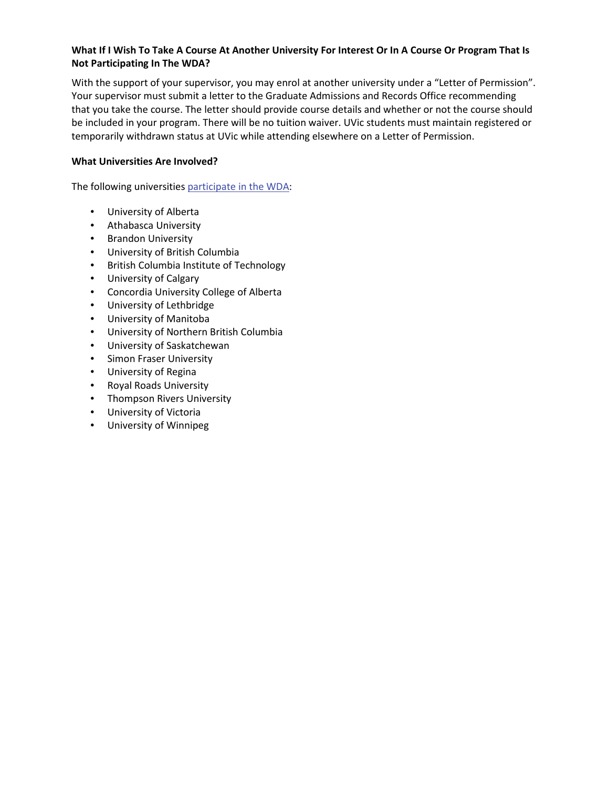## **What If I Wish To Take A Course At Another University For Interest Or In A Course Or Program That Is Not Participating In The WDA?**

With the support of your supervisor, you may enrol at another university under a "Letter of Permission". Your supervisor must submit a letter to the Graduate Admissions and Records Office recommending that you take the course. The letter should provide course details and whether or not the course should be included in your program. There will be no tuition waiver. UVic students must maintain registered or temporarily withdrawn status at UVic while attending elsewhere on a Letter of Permission.

## **What Universities Are Involved?**

The following universities participate in the WDA:

- University of Alberta
- Athabasca University
- Brandon University
- University of British Columbia
- British Columbia Institute of Technology
- University of Calgary
- Concordia University College of Alberta
- University of Lethbridge
- University of Manitoba
- University of Northern British Columbia
- University of Saskatchewan
- Simon Fraser University
- University of Regina
- Royal Roads University
- Thompson Rivers University
- University of Victoria
- University of Winnipeg